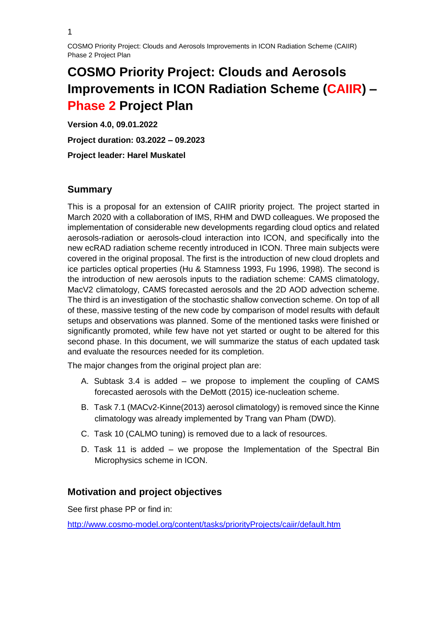# **COSMO Priority Project: Clouds and Aerosols Improvements in ICON Radiation Scheme (CAIIR) – Phase 2 Project Plan**

**Version 4.0, 09.01.2022 Project duration: 03.2022 – 09.2023 Project leader: Harel Muskatel**

# **Summary**

This is a proposal for an extension of CAIIR priority project. The project started in March 2020 with a collaboration of IMS, RHM and DWD colleagues. We proposed the implementation of considerable new developments regarding cloud optics and related aerosols-radiation or aerosols-cloud interaction into ICON, and specifically into the new ecRAD radiation scheme recently introduced in ICON. Three main subjects were covered in the original proposal. The first is the introduction of new cloud droplets and ice particles optical properties (Hu & Stamness 1993, Fu 1996, 1998). The second is the introduction of new aerosols inputs to the radiation scheme: CAMS climatology, MacV2 climatology, CAMS forecasted aerosols and the 2D AOD advection scheme. The third is an investigation of the stochastic shallow convection scheme. On top of all of these, massive testing of the new code by comparison of model results with default setups and observations was planned. Some of the mentioned tasks were finished or significantly promoted, while few have not yet started or ought to be altered for this second phase. In this document, we will summarize the status of each updated task and evaluate the resources needed for its completion.

The major changes from the original project plan are:

- A. Subtask 3.4 is added we propose to implement the coupling of CAMS forecasted aerosols with the DeMott (2015) ice-nucleation scheme.
- B. Task 7.1 (MACv2-Kinne(2013) aerosol climatology) is removed since the Kinne climatology was already implemented by Trang van Pham (DWD).
- C. Task 10 (CALMO tuning) is removed due to a lack of resources.
- D. Task 11 is added we propose the Implementation of the Spectral Bin Microphysics scheme in ICON.

## **Motivation and project objectives**

See first phase PP or find in:

<http://www.cosmo-model.org/content/tasks/priorityProjects/caiir/default.htm>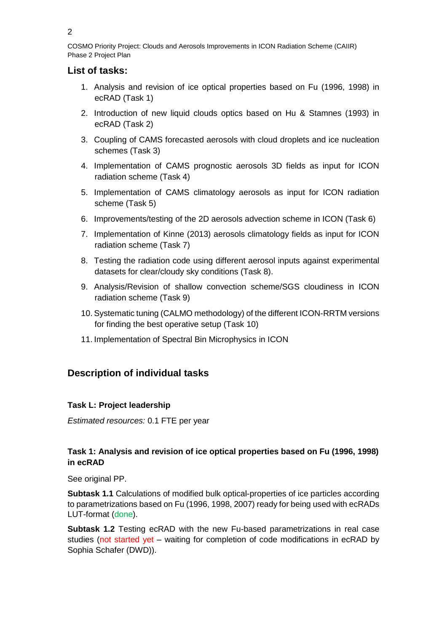COSMO Priority Project: Clouds and Aerosols Improvements in ICON Radiation Scheme (CAIIR) Phase 2 Project Plan

# **List of tasks:**

- 1. Analysis and revision of ice optical properties based on Fu (1996, 1998) in ecRAD (Task 1)
- 2. Introduction of new liquid clouds optics based on Hu & Stamnes (1993) in ecRAD (Task 2)
- 3. Coupling of CAMS forecasted aerosols with cloud droplets and ice nucleation schemes (Task 3)
- 4. Implementation of CAMS prognostic aerosols 3D fields as input for ICON radiation scheme (Task 4)
- 5. Implementation of CAMS climatology aerosols as input for ICON radiation scheme (Task 5)
- 6. Improvements/testing of the 2D aerosols advection scheme in ICON (Task 6)
- 7. Implementation of Kinne (2013) aerosols climatology fields as input for ICON radiation scheme (Task 7)
- 8. Testing the radiation code using different aerosol inputs against experimental datasets for clear/cloudy sky conditions (Task 8).
- 9. Analysis/Revision of shallow convection scheme/SGS cloudiness in ICON radiation scheme (Task 9)
- 10. Systematic tuning (CALMO methodology) of the different ICON-RRTM versions for finding the best operative setup (Task 10)
- 11. Implementation of Spectral Bin Microphysics in ICON

# **Description of individual tasks**

## **Task L: Project leadership**

*Estimated resources:* 0.1 FTE per year

## **Task 1: Analysis and revision of ice optical properties based on Fu (1996, 1998) in ecRAD**

See original PP.

**Subtask 1.1** Calculations of modified bulk optical-properties of ice particles according to parametrizations based on Fu (1996, 1998, 2007) ready for being used with ecRADs LUT-format (done).

**Subtask 1.2** Testing ecRAD with the new Fu-based parametrizations in real case studies (not started yet – waiting for completion of code modifications in ecRAD by Sophia Schafer (DWD)).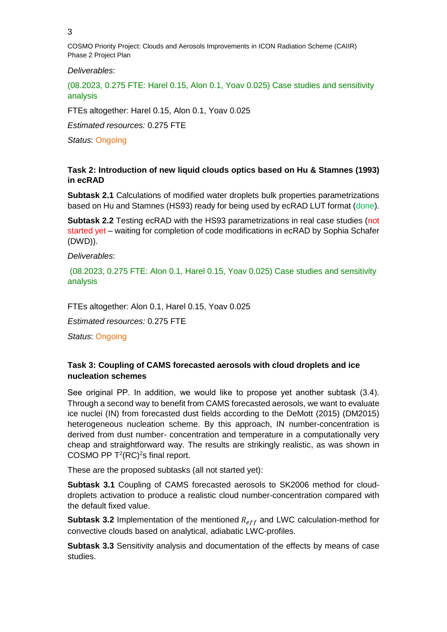COSMO Priority Project: Clouds and Aerosols Improvements in ICON Radiation Scheme (CAIIR) Phase 2 Project Plan

#### *Deliverables*:

(08.2023, 0.275 FTE: Harel 0.15, Alon 0.1, Yoav 0.025) Case studies and sensitivity analysis

FTEs altogether: Harel 0.15, Alon 0.1, Yoav 0.025

*Estimated resources:* 0.275 FTE

*Status*: Ongoing

#### **Task 2: Introduction of new liquid clouds optics based on Hu & Stamnes (1993) in ecRAD**

**Subtask 2.1** Calculations of modified water droplets bulk properties parametrizations based on Hu and Stamnes (HS93) ready for being used by ecRAD LUT format (done).

**Subtask 2.2** Testing ecRAD with the HS93 parametrizations in real case studies (not started yet – waiting for completion of code modifications in ecRAD by Sophia Schafer (DWD)).

*Deliverables*:

(08.2023, 0.275 FTE: Alon 0.1, Harel 0.15, Yoav 0.025) Case studies and sensitivity analysis

FTEs altogether: Alon 0.1, Harel 0.15, Yoav 0.025

*Estimated resources:* 0.275 FTE

*Status*: Ongoing

#### **Task 3: Coupling of CAMS forecasted aerosols with cloud droplets and ice nucleation schemes**

See original PP. In addition, we would like to propose yet another subtask (3.4). Through a second way to benefit from CAMS forecasted aerosols, we want to evaluate ice nuclei (IN) from forecasted dust fields according to the DeMott (2015) (DM2015) heterogeneous nucleation scheme. By this approach, IN number-concentration is derived from dust number- concentration and temperature in a computationally very cheap and straightforward way. The results are strikingly realistic, as was shown in COSMO PP  $T^2(RC)^2$ s final report.

These are the proposed subtasks (all not started yet):

**Subtask 3.1** Coupling of CAMS forecasted aerosols to SK2006 method for clouddroplets activation to produce a realistic cloud number-concentration compared with the default fixed value.

**Subtask 3.2** Implementation of the mentioned  $R_{eff}$  and LWC calculation-method for convective clouds based on analytical, adiabatic LWC-profiles.

**Subtask 3.3** Sensitivity analysis and documentation of the effects by means of case studies.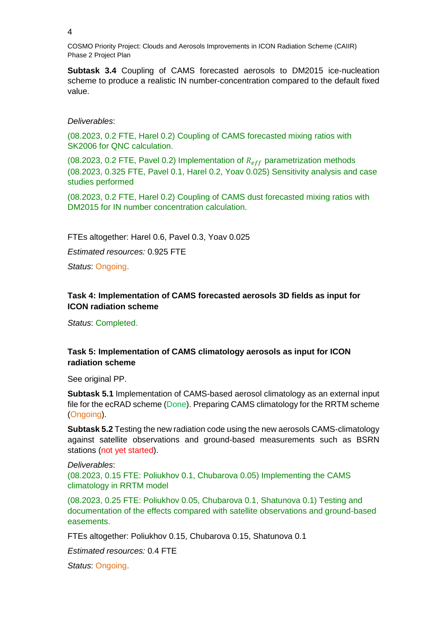COSMO Priority Project: Clouds and Aerosols Improvements in ICON Radiation Scheme (CAIIR) Phase 2 Project Plan

**Subtask 3.4** Coupling of CAMS forecasted aerosols to DM2015 ice-nucleation scheme to produce a realistic IN number-concentration compared to the default fixed value.

#### *Deliverables*:

(08.2023, 0.2 FTE, Harel 0.2) Coupling of CAMS forecasted mixing ratios with SK2006 for QNC calculation.

(08.2023, 0.2 FTE, Pavel 0.2) Implementation of  $R_{eff}$  parametrization methods (08.2023, 0.325 FTE, Pavel 0.1, Harel 0.2, Yoav 0.025) Sensitivity analysis and case studies performed

(08.2023, 0.2 FTE, Harel 0.2) Coupling of CAMS dust forecasted mixing ratios with DM2015 for IN number concentration calculation.

FTEs altogether: Harel 0.6, Pavel 0.3, Yoav 0.025

*Estimated resources:* 0.925 FTE

*Status*: Ongoing.

## **Task 4: Implementation of CAMS forecasted aerosols 3D fields as input for ICON radiation scheme**

*Status*: Completed.

## **Task 5: Implementation of CAMS climatology aerosols as input for ICON radiation scheme**

See original PP.

**Subtask 5.1** Implementation of CAMS-based aerosol climatology as an external input file for the ecRAD scheme (Done). Preparing CAMS climatology for the RRTM scheme (Ongoing).

**Subtask 5.2** Testing the new radiation code using the new aerosols CAMS-climatology against satellite observations and ground-based measurements such as BSRN stations (not yet started).

*Deliverables*: (08.2023, 0.15 FTE: Poliukhov 0.1, Chubarova 0.05) Implementing the CAMS climatology in RRTM model

(08.2023, 0.25 FTE: Poliukhov 0.05, Chubarova 0.1, Shatunova 0.1) Testing and documentation of the effects compared with satellite observations and ground-based easements.

FTEs altogether: Poliukhov 0.15, Chubarova 0.15, Shatunova 0.1

*Estimated resources:* 0.4 FTE

*Status*: Ongoing.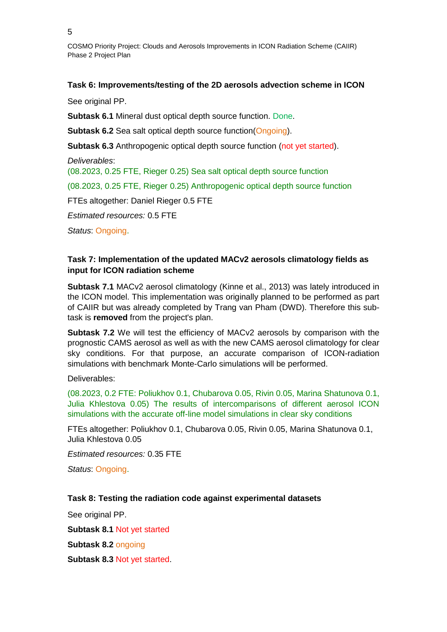COSMO Priority Project: Clouds and Aerosols Improvements in ICON Radiation Scheme (CAIIR) Phase 2 Project Plan

#### **Task 6: Improvements/testing of the 2D aerosols advection scheme in ICON**

See original PP.

**Subtask 6.1** Mineral dust optical depth source function. Done.

**Subtask 6.2** Sea salt optical depth source function(Ongoing).

**Subtask 6.3** Anthropogenic optical depth source function (not yet started).

*Deliverables*:

(08.2023, 0.25 FTE, Rieger 0.25) Sea salt optical depth source function

(08.2023, 0.25 FTE, Rieger 0.25) Anthropogenic optical depth source function

FTEs altogether: Daniel Rieger 0.5 FTE

*Estimated resources:* 0.5 FTE

*Status*: Ongoing.

## **Task 7: Implementation of the updated MACv2 aerosols climatology fields as input for ICON radiation scheme**

**Subtask 7.1** MACv2 aerosol climatology (Kinne et al., 2013) was lately introduced in the ICON model. This implementation was originally planned to be performed as part of CAIIR but was already completed by Trang van Pham (DWD). Therefore this subtask is **removed** from the project's plan.

**Subtask 7.2** We will test the efficiency of MACv2 aerosols by comparison with the prognostic CAMS aerosol as well as with the new CAMS aerosol climatology for clear sky conditions. For that purpose, an accurate comparison of ICON-radiation simulations with benchmark Monte-Carlo simulations will be performed.

Deliverables:

(08.2023, 0.2 FTE: Poliukhov 0.1, Chubarova 0.05, Rivin 0.05, Marina Shatunova 0.1, Julia Khlestova 0.05) The results of intercomparisons of different aerosol ICON simulations with the accurate off-line model simulations in clear sky conditions

FTEs altogether: Poliukhov 0.1, Chubarova 0.05, Rivin 0.05, Marina Shatunova 0.1, Julia Khlestova 0.05

*Estimated resources:* 0.35 FTE

*Status*: Ongoing.

## **Task 8: Testing the radiation code against experimental datasets**

See original PP.

**Subtask 8.1** Not yet started

**Subtask 8.2** ongoing

**Subtask 8.3** Not yet started.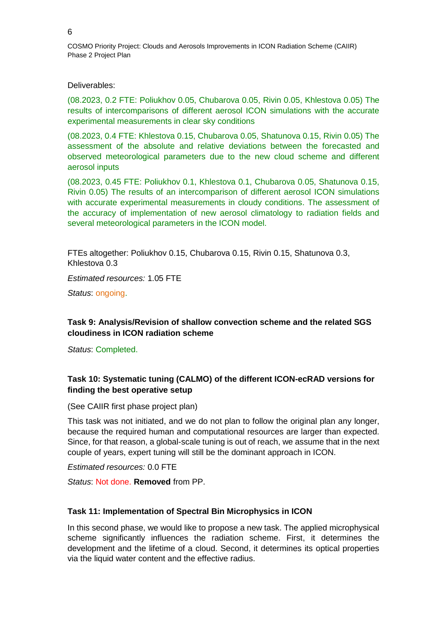#### Deliverables:

(08.2023, 0.2 FTE: Poliukhov 0.05, Chubarova 0.05, Rivin 0.05, Khlestova 0.05) The results of intercomparisons of different aerosol ICON simulations with the accurate experimental measurements in clear sky conditions

(08.2023, 0.4 FTE: Khlestova 0.15, Chubarova 0.05, Shatunova 0.15, Rivin 0.05) The assessment of the absolute and relative deviations between the forecasted and observed meteorological parameters due to the new cloud scheme and different aerosol inputs

(08.2023, 0.45 FTE: Poliukhov 0.1, Khlestova 0.1, Chubarova 0.05, Shatunova 0.15, Rivin 0.05) The results of an intercomparison of different aerosol ICON simulations with accurate experimental measurements in cloudy conditions. The assessment of the accuracy of implementation of new aerosol climatology to radiation fields and several meteorological parameters in the ICON model.

FTEs altogether: Poliukhov 0.15, Chubarova 0.15, Rivin 0.15, Shatunova 0.3, Khlestova 0.3

*Estimated resources:* 1.05 FTE

*Status*: ongoing.

#### **Task 9: Analysis/Revision of shallow convection scheme and the related SGS cloudiness in ICON radiation scheme**

*Status*: Completed.

## **Task 10: Systematic tuning (CALMO) of the different ICON-ecRAD versions for finding the best operative setup**

(See CAIIR first phase project plan)

This task was not initiated, and we do not plan to follow the original plan any longer, because the required human and computational resources are larger than expected. Since, for that reason, a global-scale tuning is out of reach, we assume that in the next couple of years, expert tuning will still be the dominant approach in ICON.

*Estimated resources:* 0.0 FTE

*Status*: Not done. **Removed** from PP.

#### **Task 11: Implementation of Spectral Bin Microphysics in ICON**

In this second phase, we would like to propose a new task. The applied microphysical scheme significantly influences the radiation scheme. First, it determines the development and the lifetime of a cloud. Second, it determines its optical properties via the liquid water content and the effective radius.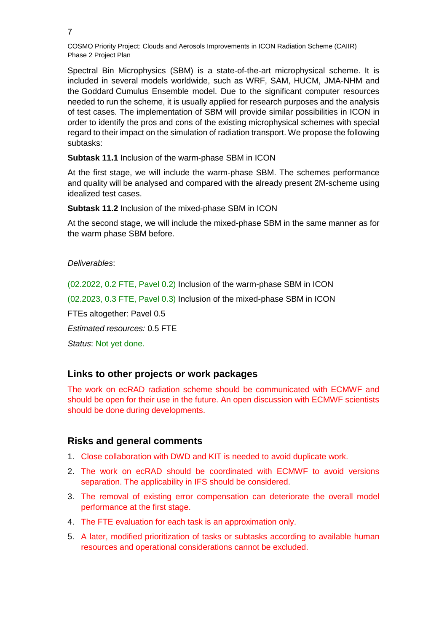Spectral Bin Microphysics (SBM) is a state-of-the-art microphysical scheme. It is included in several models worldwide, such as WRF, SAM, HUCM, JMA-NHM and the Goddard Cumulus Ensemble model. Due to the significant computer resources needed to run the scheme, it is usually applied for research purposes and the analysis of test cases. The implementation of SBM will provide similar possibilities in ICON in order to identify the pros and cons of the existing microphysical schemes with special regard to their impact on the simulation of radiation transport. We propose the following subtasks:

**Subtask 11.1** Inclusion of the warm-phase SBM in ICON

At the first stage, we will include the warm-phase SBM. The schemes performance and quality will be analysed and compared with the already present 2M-scheme using idealized test cases.

**Subtask 11.2** Inclusion of the mixed-phase SBM in ICON

At the second stage, we will include the mixed-phase SBM in the same manner as for the warm phase SBM before.

*Deliverables*:

(02.2022, 0.2 FTE, Pavel 0.2) Inclusion of the warm-phase SBM in ICON

(02.2023, 0.3 FTE, Pavel 0.3) Inclusion of the mixed-phase SBM in ICON

FTEs altogether: Pavel 0.5

*Estimated resources:* 0.5 FTE

*Status*: Not yet done.

## **Links to other projects or work packages**

The work on ecRAD radiation scheme should be communicated with ECMWF and should be open for their use in the future. An open discussion with ECMWF scientists should be done during developments.

## **Risks and general comments**

- 1. Close collaboration with DWD and KIT is needed to avoid duplicate work.
- 2. The work on ecRAD should be coordinated with ECMWF to avoid versions separation. The applicability in IFS should be considered.
- 3. The removal of existing error compensation can deteriorate the overall model performance at the first stage.
- 4. The FTE evaluation for each task is an approximation only.
- 5. A later, modified prioritization of tasks or subtasks according to available human resources and operational considerations cannot be excluded.

7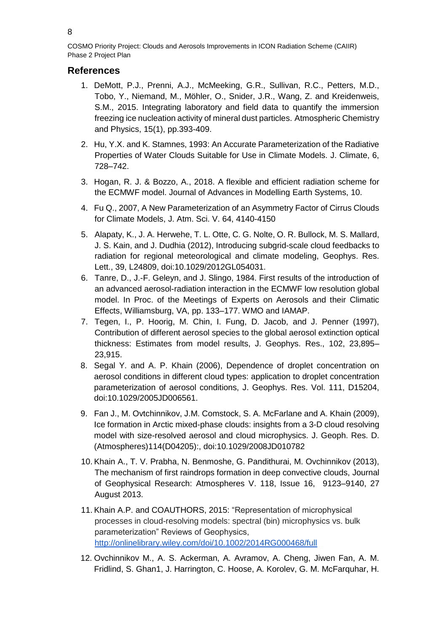## **References**

- 1. DeMott, P.J., Prenni, A.J., McMeeking, G.R., Sullivan, R.C., Petters, M.D., Tobo, Y., Niemand, M., Möhler, O., Snider, J.R., Wang, Z. and Kreidenweis, S.M., 2015. Integrating laboratory and field data to quantify the immersion freezing ice nucleation activity of mineral dust particles. Atmospheric Chemistry and Physics, 15(1), pp.393-409.
- 2. Hu, Y.X. and K. Stamnes, 1993: An Accurate Parameterization of the Radiative Properties of Water Clouds Suitable for Use in Climate Models. J. Climate, 6, 728–742.
- 3. Hogan, R. J. & Bozzo, A., 2018. A flexible and efficient radiation scheme for the ECMWF model. Journal of Advances in Modelling Earth Systems, 10.
- 4. Fu Q., 2007, A New Parameterization of an Asymmetry Factor of Cirrus Clouds for Climate Models, J. Atm. Sci. V. 64, 4140-4150
- 5. Alapaty, K., J. A. Herwehe, T. L. Otte, C. G. Nolte, O. R. Bullock, M. S. Mallard, J. S. Kain, and J. Dudhia (2012), Introducing subgrid-scale cloud feedbacks to radiation for regional meteorological and climate modeling, Geophys. Res. Lett., 39, L24809, doi[:10.1029/2012GL054031.](http://dx.doi.org/10.1029/2012GL054031)
- 6. Tanre, D., J.-F. Geleyn, and J. Slingo, 1984. First results of the introduction of an advanced aerosol-radiation interaction in the ECMWF low resolution global model. In Proc. of the Meetings of Experts on Aerosols and their Climatic Effects, Williamsburg, VA, pp. 133–177. WMO and IAMAP.
- 7. Tegen, I., P. Hoorig, M. Chin, I. Fung, D. Jacob, and J. Penner (1997), Contribution of different aerosol species to the global aerosol extinction optical thickness: Estimates from model results, J. Geophys. Res., 102, 23,895– 23,915.
- 8. Segal Y. and A. P. Khain (2006), Dependence of droplet concentration on aerosol conditions in different cloud types: application to droplet concentration parameterization of aerosol conditions, J. Geophys. Res. Vol. 111, D15204, doi:10.1029/2005JD006561.
- 9. Fan J., M. Ovtchinnikov, J.M. Comstock, S. A. McFarlane and A. Khain (2009), Ice formation in Arctic mixed-phase clouds: insights from a 3-D cloud resolving model with size-resolved aerosol and cloud microphysics. J. Geoph. Res. D. (Atmospheres)114(D04205):, doi:10.1029/2008JD010782
- 10. Khain A., T. V. Prabha, N. Benmoshe, G. Pandithurai, M. Ovchinnikov (2013), The mechanism of first raindrops formation in deep convective clouds, Journal of Geophysical Research: Atmospheres [V. 118, Issue 16,](http://onlinelibrary.wiley.com/doi/10.1002/jgrd.v118.16/issuetoc) 9123–9140, 27 August 2013.
- 11. Khain A.P. and COAUTHORS, 2015: "Representation of microphysical processes in cloud-resolving models: spectral (bin) microphysics vs. bulk parameterization" Reviews of Geophysics, <http://onlinelibrary.wiley.com/doi/10.1002/2014RG000468/full>
- 12. Ovchinnikov M., A. S. Ackerman, A. Avramov, A. Cheng, Jiwen Fan, A. M. Fridlind, S. Ghan1, J. Harrington, C. Hoose, A. Korolev, G. M. McFarquhar, H.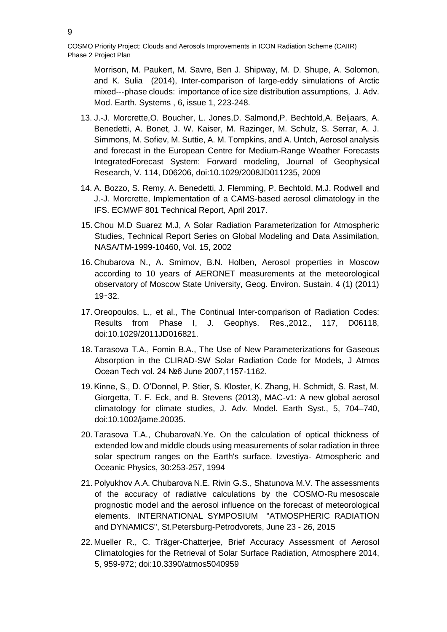Morrison, M. Paukert, M. Savre, Ben J. Shipway, M. D. Shupe, A. Solomon, and K. Sulia (2014), Inter-comparison of large-eddy simulations of Arctic mixed--‐phase clouds: importance of ice size distribution assumptions, J. Adv. Mod. Earth. Systems , 6, issue 1, 223-248.

- 13. J.-J. Morcrette,O. Boucher, L. Jones,D. Salmond,P. Bechtold,A. Beljaars, A. Benedetti, A. Bonet, J. W. Kaiser, M. Razinger, M. Schulz, S. Serrar, A. J. Simmons, M. Sofiev, M. Suttie, A. M. Tompkins, and A. Untch, Aerosol analysis and forecast in the European Centre for Medium-Range Weather Forecasts IntegratedForecast System: Forward modeling, Journal of Geophysical Research, V. 114, D06206, doi:10.1029/2008JD011235, 2009
- 14. A. Bozzo, S. Remy, A. Benedetti, J. Flemming, P. Bechtold, M.J. Rodwell and J.-J. Morcrette, Implementation of a CAMS-based aerosol climatology in the IFS. ECMWF 801 Technical Report, April 2017.
- 15. Chou M.D Suarez M.J, A Solar Radiation Parameterization for Atmospheric Studies, Technical Report Series on Global Modeling and Data Assimilation, NASA/TM-1999-10460, Vol. 15, 2002
- 16. Chubarova N., A. Smirnov, B.N. Holben, Aerosol properties in Moscow according to 10 years of AERONET measurements at the meteorological observatory of Moscow State University, Geog. Environ. Sustain. 4 (1) (2011) 19–32.
- 17. Oreopoulos, L., et al., The Continual Inter-comparison of Radiation Codes: Results from Phase I, J. Geophys. Res.,2012., 117, D06118, doi:10.1029/2011JD016821.
- 18. Tarasova T.A., Fomin B.A., The Use of New Parameterizations for Gaseous Absorption in the CLIRAD-SW Solar Radiation Code for Models, J Atmos Ocean Tech vol. 24 №6 June 2007,1157-1162.
- 19. Kinne, S., D. O'Donnel, P. Stier, S. Kloster, K. Zhang, H. Schmidt, S. Rast, M. Giorgetta, T. F. Eck, and B. Stevens (2013), MAC-v1: A new global aerosol climatology for climate studies, J. Adv. Model. Earth Syst., 5, 704–740, doi:10.1002/jame.20035.
- 20. Tarasova T.A., ChubarovaN.Ye. On the calculation of optical thickness of extended low and middle clouds using measurements of solar radiation in three solar spectrum ranges on the Earth's surface. Izvestiya- Atmospheric and Oceanic Physics, 30:253-257, 1994
- 21. Polyukhov A.A. Chubarova N.E. Rivin G.S., Shatunova M.V. The assessments of the accuracy of radiative calculations by the COSMO-Ru mesoscale prognostic model and the aerosol influence on the forecast of meteorological elements. INTERNATIONAL SYMPOSIUM "ATMOSPHERIC RADIATION and DYNAMICS", St.Petersburg-Petrodvorets, June 23 - 26, 2015
- 22. Mueller R., C. Träger-Chatterjee, Brief Accuracy Assessment of Aerosol Climatologies for the Retrieval of Solar Surface Radiation, Atmosphere 2014, 5, 959-972; doi:10.3390/atmos5040959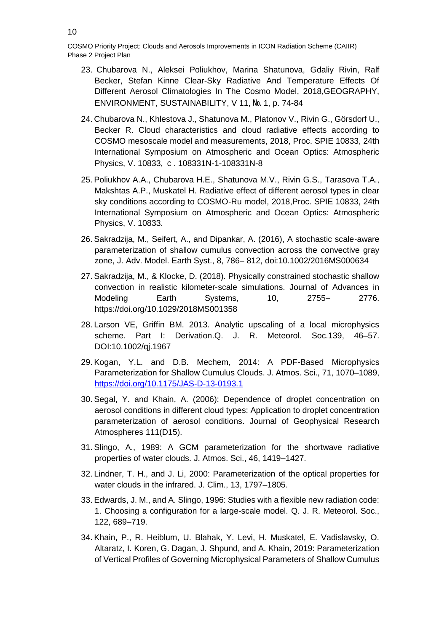- 23. [Chubarova](https://istina.msu.ru/workers/454393/) N., [Aleksei Poliukhov,](https://istina.msu.ru/workers/6516797/) [Marina Shatunova,](https://istina.msu.ru/workers/7766237/) [Gdaliy Rivin,](https://istina.msu.ru/workers/7591510/) [Ralf](https://istina.msu.ru/workers/27638830/)  [Becker,](https://istina.msu.ru/workers/27638830/) [Stefan Kinne](https://istina.msu.ru/workers/27638831/) [Clear-Sky Radiative And Temperature Effects Of](https://istina.msu.ru/publications/article/116582996/)  [Different Aerosol Climatologies In](https://istina.msu.ru/publications/article/116582996/) The Cosmo Model, 2018[,GEOGRAPHY,](https://istina.msu.ru/journals/402267/)  [ENVIRONMENT, SUSTAINABILITY,](https://istina.msu.ru/journals/402267/) V 11, № 1, p. 74-84
- 24. [Chubarova N.,](https://istina.msu.ru/workers/454393/) [Khlestova J.,](https://istina.msu.ru/workers/19670921/) [Shatunova M.,](https://istina.msu.ru/workers/7766237/) [Platonov V.,](https://istina.msu.ru/workers/434048/) [Rivin G.,](https://istina.msu.ru/workers/7591510/) [Görsdorf U.,](https://istina.msu.ru/workers/157553042/) [Becker R.](https://istina.msu.ru/workers/78767107/) [Cloud characteristics and cloud radiative effects according to](https://istina.msu.ru/publications/article/157553044/)  [COSMO mesoscale model and measurements,](https://istina.msu.ru/publications/article/157553044/) 2018, [Proc. SPIE 10833, 24th](https://istina.msu.ru/journals/163395231/)  [International Symposium on Atmospheric and Ocean Optics: Atmospheric](https://istina.msu.ru/journals/163395231/)  [Physics,](https://istina.msu.ru/journals/163395231/) V. 10833, с. 108331N-1-108331N-8
- 25. [Poliukhov A.A.,](https://istina.msu.ru/workers/6516797/) [Chubarova H.E.,](https://istina.msu.ru/workers/454393/) [Shatunova M.V.,](https://istina.msu.ru/workers/7766237/) [Rivin G.S.,](https://istina.msu.ru/workers/7591510/) [Tarasova T.A.,](https://istina.msu.ru/workers/376672/) [Makshtas A.P.,](https://istina.msu.ru/workers/6927579/) [Muskatel H.](https://istina.msu.ru/workers/157552894/) [Radiative effect of different aerosol](https://istina.msu.ru/publications/article/157552895/) types in clear [sky conditions according to COSMO-Ru model,](https://istina.msu.ru/publications/article/157552895/) 2018[,Proc. SPIE 10833, 24th](https://istina.msu.ru/journals/163395231/)  [International Symposium on Atmospheric and Ocean Optics: Atmospheric](https://istina.msu.ru/journals/163395231/)  [Physics,](https://istina.msu.ru/journals/163395231/) V. 10833.
- 26. Sakradzija, M., Seifert, A., and Dipankar, A. (2016), A stochastic scale‐aware parameterization of shallow cumulus convection across the convective gray zone, J. Adv. Model. Earth Syst., 8, 786– 812, doi:10.1002/2016MS000634
- 27. Sakradzija, M., & Klocke, D. (2018). Physically constrained stochastic shallow convection in realistic kilometer‐scale simulations. Journal of Advances in Modeling Earth Systems, 10, 2755– 2776. <https://doi.org/10.1029/2018MS001358>
- 28. Larson VE, Griffin BM. 2013. Analytic upscaling of a local microphysics scheme. Part I: Derivation.Q. J. R. Meteorol. Soc.139, 46–57. DOI:10.1002/qj.1967
- 29. Kogan, Y.L. and D.B. Mechem, 2014: A PDF-Based Microphysics Parameterization for Shallow Cumulus Clouds. J. Atmos. Sci., 71, 1070–1089, <https://doi.org/10.1175/JAS-D-13-0193.1>
- 30. Segal, Y. and Khain, A. (2006): Dependence of droplet concentration on aerosol conditions in different cloud types: Application to droplet concentration parameterization of aerosol conditions. Journal of Geophysical Research Atmospheres 111(D15).
- 31. Slingo, A., 1989: A GCM parameterization for the shortwave radiative properties of water clouds. J. Atmos. Sci., 46, 1419–1427.
- 32. Lindner, T. H., and J. Li, 2000: Parameterization of the optical properties for water clouds in the infrared. J. Clim., 13, 1797–1805.
- 33. Edwards, J. M., and A. Slingo, 1996: Studies with a flexible new radiation code: 1. Choosing a configuration for a large-scale model. Q. J. R. Meteorol. Soc., 122, 689–719.
- 34. Khain, P., R. Heiblum, U. Blahak, Y. Levi, H. Muskatel, E. Vadislavsky, O. Altaratz, I. Koren, G. Dagan, J. Shpund, and A. Khain, 2019: Parameterization of Vertical Profiles of Governing Microphysical Parameters of Shallow Cumulus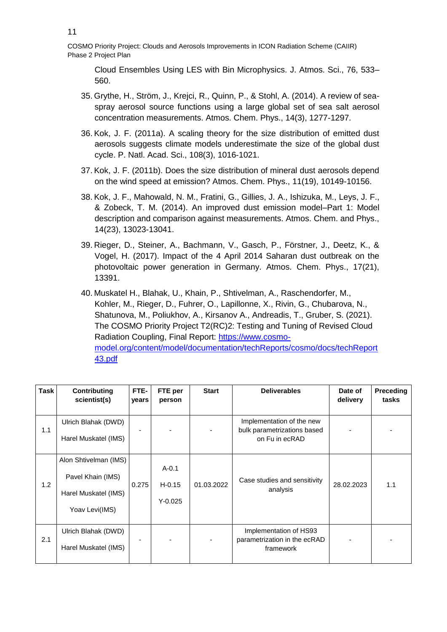Cloud Ensembles Using LES with Bin Microphysics. J. Atmos. Sci., 76, 533– 560.

- 35. Grythe, H., Ström, J., Krejci, R., Quinn, P., & Stohl, A. (2014). A review of seaspray aerosol source functions using a large global set of sea salt aerosol concentration measurements. Atmos. Chem. Phys., 14(3), 1277-1297.
- 36. Kok, J. F. (2011a). A scaling theory for the size distribution of emitted dust aerosols suggests climate models underestimate the size of the global dust cycle. P. Natl. Acad. Sci., 108(3), 1016-1021.
- 37. Kok, J. F. (2011b). Does the size distribution of mineral dust aerosols depend on the wind speed at emission? Atmos. Chem. Phys., 11(19), 10149-10156.
- 38. Kok, J. F., Mahowald, N. M., Fratini, G., Gillies, J. A., Ishizuka, M., Leys, J. F., & Zobeck, T. M. (2014). An improved dust emission model–Part 1: Model description and comparison against measurements. Atmos. Chem. and Phys., 14(23), 13023-13041.
- 39. Rieger, D., Steiner, A., Bachmann, V., Gasch, P., Förstner, J., Deetz, K., & Vogel, H. (2017). Impact of the 4 April 2014 Saharan dust outbreak on the photovoltaic power generation in Germany. Atmos. Chem. Phys., 17(21), 13391.
- 40. Muskatel H., Blahak, U., Khain, P., Shtivelman, A., Raschendorfer, M., Kohler, M., Rieger, D., Fuhrer, O., Lapillonne, X., Rivin, G., Chubarova, N., Shatunova, M., Poliukhov, A., Kirsanov A., Andreadis, T., Gruber, S. (2021). The COSMO Priority Project T2(RC)2: Testing and Tuning of Revised Cloud Radiation Coupling, Final Report: [https://www.cosmo](https://www.cosmo-model.org/content/model/documentation/techReports/cosmo/docs/techReport43.pdf)[model.org/content/model/documentation/techReports/cosmo/docs/techReport](https://www.cosmo-model.org/content/model/documentation/techReports/cosmo/docs/techReport43.pdf) [43.pdf](https://www.cosmo-model.org/content/model/documentation/techReports/cosmo/docs/techReport43.pdf)

| Task | Contributing<br>scientist(s)                                                         | FTE-<br>years | FTE per<br>person                    | <b>Start</b> | <b>Deliverables</b>                                                        | Date of<br>delivery | <b>Preceding</b><br>tasks |
|------|--------------------------------------------------------------------------------------|---------------|--------------------------------------|--------------|----------------------------------------------------------------------------|---------------------|---------------------------|
| 1.1  | Ulrich Blahak (DWD)<br>Harel Muskatel (IMS)                                          |               |                                      |              | Implementation of the new<br>bulk parametrizations based<br>on Fu in ecRAD |                     |                           |
| 1.2  | Alon Shtivelman (IMS)<br>Pavel Khain (IMS)<br>Harel Muskatel (IMS)<br>Yoav Levi(IMS) | 0.275         | $A - 0.1$<br>$H - 0.15$<br>$Y-0.025$ | 01.03.2022   | Case studies and sensitivity<br>analysis                                   | 28.02.2023          | 1.1                       |
| 2.1  | Ulrich Blahak (DWD)<br>Harel Muskatel (IMS)                                          |               |                                      |              | Implementation of HS93<br>parametrization in the ecRAD<br>framework        |                     |                           |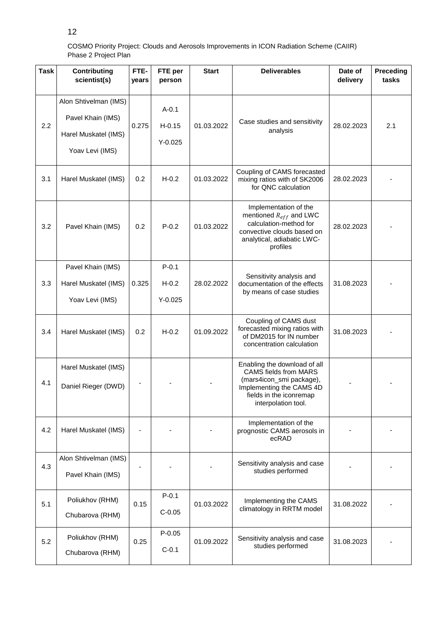| <b>Task</b> | <b>Contributing</b><br>scientist(s)                                                   | FTE-<br>years | FTE per<br>person                    | <b>Start</b> | <b>Deliverables</b>                                                                                                                                                    | Date of<br>delivery | Preceding<br>tasks |
|-------------|---------------------------------------------------------------------------------------|---------------|--------------------------------------|--------------|------------------------------------------------------------------------------------------------------------------------------------------------------------------------|---------------------|--------------------|
| 2.2         | Alon Shtivelman (IMS)<br>Pavel Khain (IMS)<br>Harel Muskatel (IMS)<br>Yoav Levi (IMS) | 0.275         | $A - 0.1$<br>$H - 0.15$<br>$Y-0.025$ | 01.03.2022   | Case studies and sensitivity<br>analysis                                                                                                                               | 28.02.2023          | 2.1                |
| 3.1         | Harel Muskatel (IMS)                                                                  | 0.2           | $H-0.2$                              | 01.03.2022   | Coupling of CAMS forecasted<br>mixing ratios with of SK2006<br>for QNC calculation                                                                                     | 28.02.2023          |                    |
| 3.2         | Pavel Khain (IMS)                                                                     | 0.2           | $P - 0.2$                            | 01.03.2022   | Implementation of the<br>mentioned $R_{eff}$ and LWC<br>calculation-method for<br>convective clouds based on<br>analytical, adiabatic LWC-<br>profiles                 | 28.02.2023          |                    |
| 3.3         | Pavel Khain (IMS)<br>Harel Muskatel (IMS)<br>Yoav Levi (IMS)                          | 0.325         | $P - 0.1$<br>$H-0.2$<br>$Y-0.025$    | 28.02.2022   | Sensitivity analysis and<br>documentation of the effects<br>by means of case studies                                                                                   | 31.08.2023          |                    |
| 3.4         | Harel Muskatel (IMS)                                                                  | 0.2           | $H-0.2$                              | 01.09.2022   | Coupling of CAMS dust<br>forecasted mixing ratios with<br>of DM2015 for IN number<br>concentration calculation                                                         | 31.08.2023          |                    |
| 4.1         | Harel Muskatel (IMS)<br>Daniel Rieger (DWD)                                           |               |                                      |              | Enabling the download of all<br><b>CAMS</b> fields from MARS<br>(mars4icon_smi package),<br>Implementing the CAMS 4D<br>fields in the iconremap<br>interpolation tool. |                     |                    |
| 4.2         | Harel Muskatel (IMS)                                                                  |               |                                      |              | Implementation of the<br>prognostic CAMS aerosols in<br>ecRAD                                                                                                          |                     |                    |
| 4.3         | Alon Shtivelman (IMS)<br>Pavel Khain (IMS)                                            | ä,            |                                      |              | Sensitivity analysis and case<br>studies performed                                                                                                                     |                     |                    |
| 5.1         | Poliukhov (RHM)<br>Chubarova (RHM)                                                    | 0.15          | $P - 0.1$<br>$C-0.05$                | 01.03.2022   | Implementing the CAMS<br>climatology in RRTM model                                                                                                                     | 31.08.2022          |                    |
| 5.2         | Poliukhov (RHM)<br>Chubarova (RHM)                                                    | 0.25          | $P - 0.05$<br>$C-0.1$                | 01.09.2022   | Sensitivity analysis and case<br>studies performed                                                                                                                     | 31.08.2023          |                    |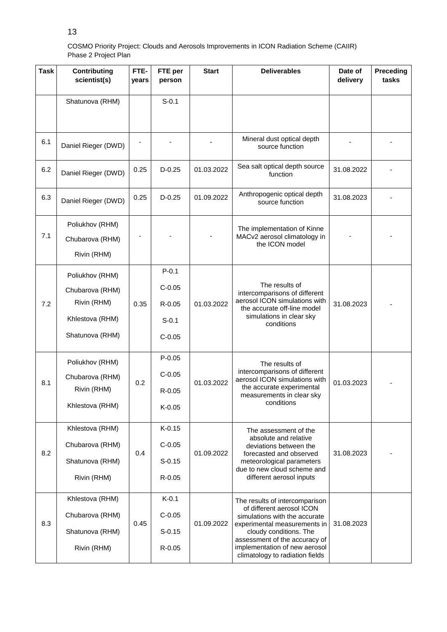| <b>Task</b> | <b>Contributing</b><br>scientist(s)               | FTE-<br>years | FTE per<br>person | <b>Start</b>                        | <b>Deliverables</b>                                                                                                                                                                     | Date of<br>delivery | Preceding<br>tasks |
|-------------|---------------------------------------------------|---------------|-------------------|-------------------------------------|-----------------------------------------------------------------------------------------------------------------------------------------------------------------------------------------|---------------------|--------------------|
|             | Shatunova (RHM)                                   |               | $S-0.1$           |                                     |                                                                                                                                                                                         |                     |                    |
| 6.1         | Daniel Rieger (DWD)                               |               |                   |                                     | Mineral dust optical depth<br>source function                                                                                                                                           |                     |                    |
| 6.2         | Daniel Rieger (DWD)                               | 0.25          | $D-0.25$          | 01.03.2022                          | Sea salt optical depth source<br>function                                                                                                                                               | 31.08.2022          |                    |
| 6.3         | Daniel Rieger (DWD)                               | 0.25          | $D-0.25$          | 01.09.2022                          | Anthropogenic optical depth<br>source function                                                                                                                                          | 31.08.2023          |                    |
| 7.1         | Poliukhov (RHM)<br>Chubarova (RHM)<br>Rivin (RHM) |               |                   |                                     | The implementation of Kinne<br>MACv2 aerosol climatology in<br>the ICON model                                                                                                           |                     |                    |
|             | Poliukhov (RHM)                                   |               | $P - 0.1$         |                                     |                                                                                                                                                                                         |                     |                    |
|             | Chubarova (RHM)                                   | 0.35          | $C-0.05$          | 01.03.2022                          | The results of<br>intercomparisons of different<br>aerosol ICON simulations with<br>the accurate off-line model<br>simulations in clear sky<br>conditions                               | 31.08.2023          |                    |
| 7.2         | Rivin (RHM)                                       |               | $R - 0.05$        |                                     |                                                                                                                                                                                         |                     |                    |
|             | Khlestova (RHM)                                   |               | $S - 0.1$         |                                     |                                                                                                                                                                                         |                     |                    |
|             | Shatunova (RHM)                                   |               | $C-0.05$          |                                     |                                                                                                                                                                                         |                     |                    |
|             | Poliukhov (RHM)                                   |               | $P - 0.05$        |                                     | The results of<br>intercomparisons of different<br>aerosol ICON simulations with                                                                                                        | 01.03.2023          |                    |
|             | Chubarova (RHM)                                   |               | $C-0.05$          |                                     |                                                                                                                                                                                         |                     |                    |
| 8.1         | Rivin (RHM)                                       | 0.2           | $R - 0.05$        | 01.03.2022                          | the accurate experimental<br>measurements in clear sky                                                                                                                                  |                     |                    |
|             | Khlestova (RHM)                                   |               | $K-0.05$          |                                     | conditions                                                                                                                                                                              |                     |                    |
|             | Khlestova (RHM)                                   |               | $K-0.15$          | absolute and relative<br>01.09.2022 | The assessment of the                                                                                                                                                                   |                     |                    |
| 8.2         | Chubarova (RHM)                                   | 0.4           | $C-0.05$          |                                     | deviations between the<br>forecasted and observed<br>meteorological parameters<br>due to new cloud scheme and<br>different aerosol inputs                                               | 31.08.2023          |                    |
|             | Shatunova (RHM)                                   |               | $S-0.15$          |                                     |                                                                                                                                                                                         |                     |                    |
|             | Rivin (RHM)                                       |               | $R - 0.05$        |                                     |                                                                                                                                                                                         |                     |                    |
|             | Khlestova (RHM)                                   | 0.45          | $K-0.1$           | 01.09.2022                          | The results of intercomparison<br>of different aerosol ICON<br>simulations with the accurate<br>experimental measurements in<br>cloudy conditions. The<br>assessment of the accuracy of | 31.08.2023          |                    |
| 8.3         | Chubarova (RHM)                                   |               | $C-0.05$          |                                     |                                                                                                                                                                                         |                     |                    |
|             | Shatunova (RHM)                                   |               | $S-0.15$          |                                     |                                                                                                                                                                                         |                     |                    |
|             | Rivin (RHM)                                       |               | R-0.05            |                                     | implementation of new aerosol<br>climatology to radiation fields                                                                                                                        |                     |                    |

13